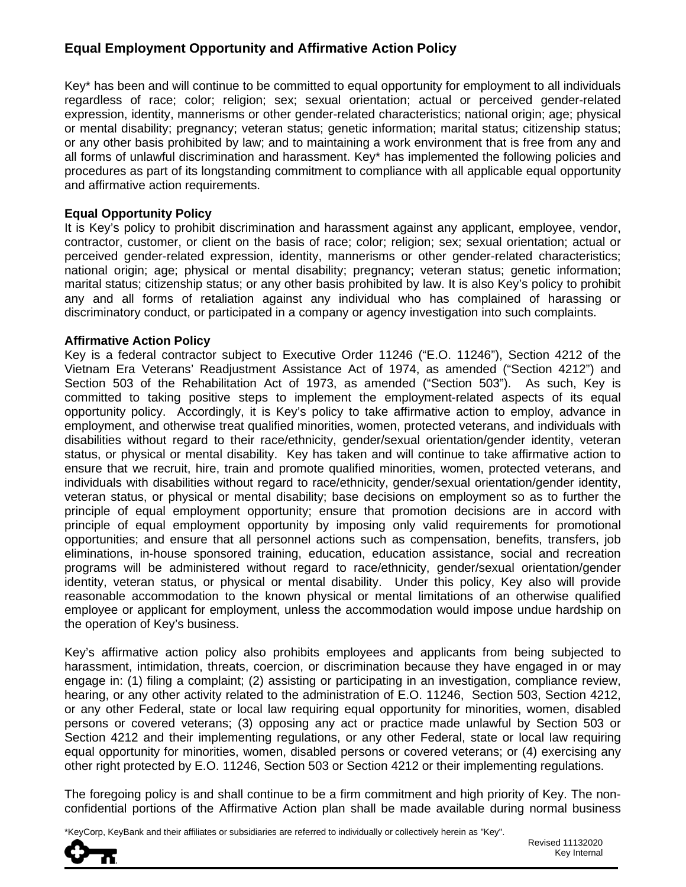# **Equal Employment Opportunity and Affirmative Action Policy**

Key\* has been and will continue to be committed to equal opportunity for employment to all individuals regardless of race; color; religion; sex; sexual orientation; actual or perceived gender-related expression, identity, mannerisms or other gender-related characteristics; national origin; age; physical or mental disability; pregnancy; veteran status; genetic information; marital status; citizenship status; or any other basis prohibited by law; and to maintaining a work environment that is free from any and all forms of unlawful discrimination and harassment. Key\* has implemented the following policies and procedures as part of its longstanding commitment to compliance with all applicable equal opportunity and affirmative action requirements.

### **Equal Opportunity Policy**

It is Key's policy to prohibit discrimination and harassment against any applicant, employee, vendor, contractor, customer, or client on the basis of race; color; religion; sex; sexual orientation; actual or perceived gender-related expression, identity, mannerisms or other gender-related characteristics; national origin; age; physical or mental disability; pregnancy; veteran status; genetic information; marital status; citizenship status; or any other basis prohibited by law. It is also Key's policy to prohibit any and all forms of retaliation against any individual who has complained of harassing or discriminatory conduct, or participated in a company or agency investigation into such complaints.

### **Affirmative Action Policy**

Key is a federal contractor subject to Executive Order 11246 ("E.O. 11246"), Section 4212 of the Vietnam Era Veterans' Readjustment Assistance Act of 1974, as amended ("Section 4212") and Section 503 of the Rehabilitation Act of 1973, as amended ("Section 503"). As such, Key is committed to taking positive steps to implement the employment-related aspects of its equal opportunity policy. Accordingly, it is Key's policy to take affirmative action to employ, advance in employment, and otherwise treat qualified minorities, women, protected veterans, and individuals with disabilities without regard to their race/ethnicity, gender/sexual orientation/gender identity, veteran status, or physical or mental disability. Key has taken and will continue to take affirmative action to ensure that we recruit, hire, train and promote qualified minorities, women, protected veterans, and individuals with disabilities without regard to race/ethnicity, gender/sexual orientation/gender identity, veteran status, or physical or mental disability; base decisions on employment so as to further the principle of equal employment opportunity; ensure that promotion decisions are in accord with principle of equal employment opportunity by imposing only valid requirements for promotional opportunities; and ensure that all personnel actions such as compensation, benefits, transfers, job eliminations, in-house sponsored training, education, education assistance, social and recreation programs will be administered without regard to race/ethnicity, gender/sexual orientation/gender identity, veteran status, or physical or mental disability. Under this policy, Key also will provide reasonable accommodation to the known physical or mental limitations of an otherwise qualified employee or applicant for employment, unless the accommodation would impose undue hardship on the operation of Key's business.

Key's affirmative action policy also prohibits employees and applicants from being subjected to harassment, intimidation, threats, coercion, or discrimination because they have engaged in or may engage in: (1) filing a complaint; (2) assisting or participating in an investigation, compliance review, hearing, or any other activity related to the administration of E.O. 11246, Section 503, Section 4212, or any other Federal, state or local law requiring equal opportunity for minorities, women, disabled persons or covered veterans; (3) opposing any act or practice made unlawful by Section 503 or Section 4212 and their implementing regulations, or any other Federal, state or local law requiring equal opportunity for minorities, women, disabled persons or covered veterans; or (4) exercising any other right protected by E.O. 11246, Section 503 or Section 4212 or their implementing regulations.

The foregoing policy is and shall continue to be a firm commitment and high priority of Key. The nonconfidential portions of the Affirmative Action plan shall be made available during normal business

\*KeyCorp, KeyBank and their affiliates or subsidiaries are referred to individually or collectively herein as "Key".

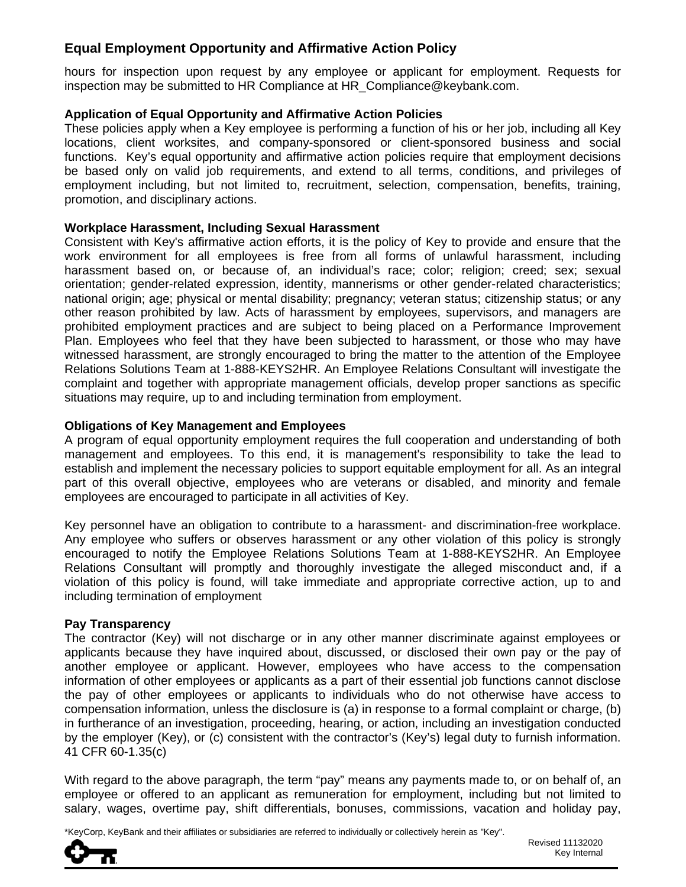# **Equal Employment Opportunity and Affirmative Action Policy**

hours for inspection upon request by any employee or applicant for employment. Requests for inspection may be submitted to HR Compliance at HR\_Compliance@keybank.com.

### **Application of Equal Opportunity and Affirmative Action Policies**

These policies apply when a Key employee is performing a function of his or her job, including all Key locations, client worksites, and company-sponsored or client-sponsored business and social functions. Key's equal opportunity and affirmative action policies require that employment decisions be based only on valid job requirements, and extend to all terms, conditions, and privileges of employment including, but not limited to, recruitment, selection, compensation, benefits, training, promotion, and disciplinary actions.

#### **Workplace Harassment, Including Sexual Harassment**

Consistent with Key's affirmative action efforts, it is the policy of Key to provide and ensure that the work environment for all employees is free from all forms of unlawful harassment, including harassment based on, or because of, an individual's race; color; religion; creed; sex; sexual orientation; gender-related expression, identity, mannerisms or other gender-related characteristics; national origin; age; physical or mental disability; pregnancy; veteran status; citizenship status; or any other reason prohibited by law. Acts of harassment by employees, supervisors, and managers are prohibited employment practices and are subject to being placed on a Performance Improvement Plan. Employees who feel that they have been subjected to harassment, or those who may have witnessed harassment, are strongly encouraged to bring the matter to the attention of the Employee Relations Solutions Team at 1-888-KEYS2HR. An Employee Relations Consultant will investigate the complaint and together with appropriate management officials, develop proper sanctions as specific situations may require, up to and including termination from employment.

#### **Obligations of Key Management and Employees**

A program of equal opportunity employment requires the full cooperation and understanding of both management and employees. To this end, it is management's responsibility to take the lead to establish and implement the necessary policies to support equitable employment for all. As an integral part of this overall objective, employees who are veterans or disabled, and minority and female employees are encouraged to participate in all activities of Key.

Key personnel have an obligation to contribute to a harassment- and discrimination-free workplace. Any employee who suffers or observes harassment or any other violation of this policy is strongly encouraged to notify the Employee Relations Solutions Team at 1-888-KEYS2HR. An Employee Relations Consultant will promptly and thoroughly investigate the alleged misconduct and, if a violation of this policy is found, will take immediate and appropriate corrective action, up to and including termination of employment

#### **Pay Transparency**

The contractor (Key) will not discharge or in any other manner discriminate against employees or applicants because they have inquired about, discussed, or disclosed their own pay or the pay of another employee or applicant. However, employees who have access to the compensation information of other employees or applicants as a part of their essential job functions cannot disclose the pay of other employees or applicants to individuals who do not otherwise have access to compensation information, unless the disclosure is (a) in response to a formal complaint or charge, (b) in furtherance of an investigation, proceeding, hearing, or action, including an investigation conducted by the employer (Key), or (c) consistent with the contractor's (Key's) legal duty to furnish information. 41 CFR 60-1.35(c)

With regard to the above paragraph, the term "pay" means any payments made to, or on behalf of, an employee or offered to an applicant as remuneration for employment, including but not limited to salary, wages, overtime pay, shift differentials, bonuses, commissions, vacation and holiday pay,

\*KeyCorp, KeyBank and their affiliates or subsidiaries are referred to individually or collectively herein as "Key".